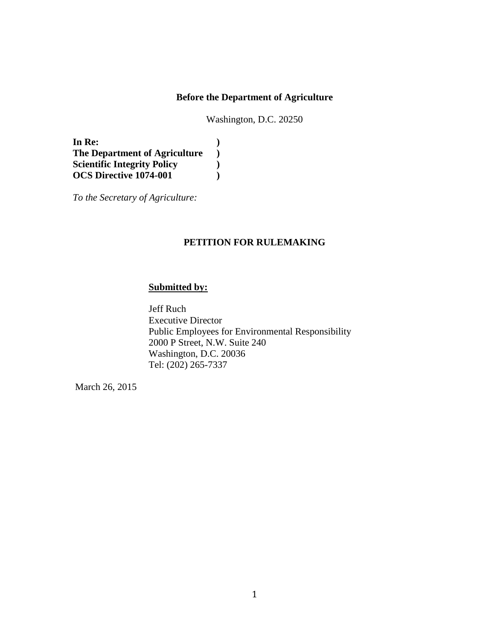### **Before the Department of Agriculture**

Washington, D.C. 20250

**In Re: ) The Department of Agriculture ) Scientific Integrity Policy ) OCS Directive 1074-001 )**

*To the Secretary of Agriculture:* 

## **PETITION FOR RULEMAKING**

## **Submitted by:**

Jeff Ruch Executive Director Public Employees for Environmental Responsibility 2000 P Street, N.W. Suite 240 Washington, D.C. 20036 Tel: (202) 265-7337

March 26, 2015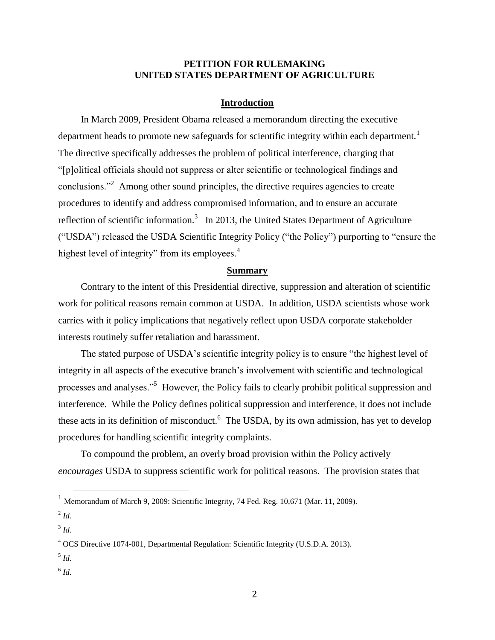### **PETITION FOR RULEMAKING UNITED STATES DEPARTMENT OF AGRICULTURE**

### **Introduction**

In March 2009, President Obama released a memorandum directing the executive department heads to promote new safeguards for scientific integrity within each department.<sup>1</sup> The directive specifically addresses the problem of political interference, charging that "[p]olitical officials should not suppress or alter scientific or technological findings and conclusions."<sup>2</sup> Among other sound principles, the directive requires agencies to create procedures to identify and address compromised information, and to ensure an accurate reflection of scientific information.<sup>3</sup> In 2013, the United States Department of Agriculture ("USDA") released the USDA Scientific Integrity Policy ("the Policy") purporting to "ensure the highest level of integrity" from its employees. $4$ 

#### **Summary**

Contrary to the intent of this Presidential directive, suppression and alteration of scientific work for political reasons remain common at USDA. In addition, USDA scientists whose work carries with it policy implications that negatively reflect upon USDA corporate stakeholder interests routinely suffer retaliation and harassment.

The stated purpose of USDA's scientific integrity policy is to ensure "the highest level of integrity in all aspects of the executive branch's involvement with scientific and technological processes and analyses."<sup>5</sup> However, the Policy fails to clearly prohibit political suppression and interference. While the Policy defines political suppression and interference, it does not include these acts in its definition of misconduct.<sup>6</sup> The USDA, by its own admission, has yet to develop procedures for handling scientific integrity complaints.

To compound the problem, an overly broad provision within the Policy actively *encourages* USDA to suppress scientific work for political reasons. The provision states that

 $\overline{a}$ 

6 *Id.*

<sup>&</sup>lt;sup>1</sup> Memorandum of March 9, 2009: Scientific Integrity, 74 Fed. Reg. 10,671 (Mar. 11, 2009).

<sup>2</sup> *Id.*

<sup>3</sup> *Id.*

<sup>4</sup> OCS Directive 1074-001, Departmental Regulation: Scientific Integrity (U.S.D.A. 2013).

<sup>5</sup> *Id.*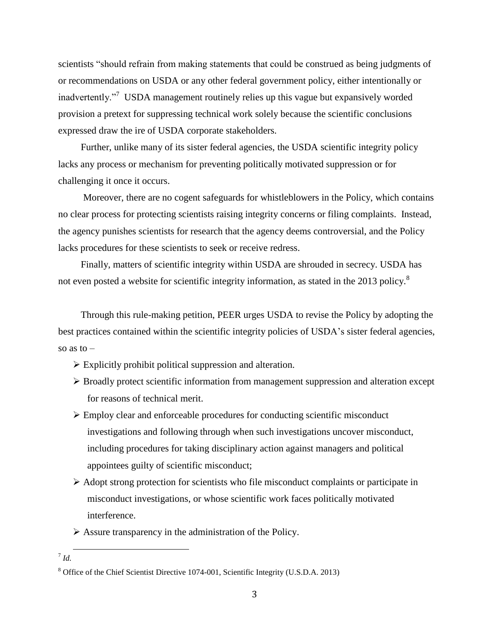scientists "should refrain from making statements that could be construed as being judgments of or recommendations on USDA or any other federal government policy, either intentionally or inadvertently."<sup>7</sup> USDA management routinely relies up this vague but expansively worded provision a pretext for suppressing technical work solely because the scientific conclusions expressed draw the ire of USDA corporate stakeholders.

Further, unlike many of its sister federal agencies, the USDA scientific integrity policy lacks any process or mechanism for preventing politically motivated suppression or for challenging it once it occurs.

Moreover, there are no cogent safeguards for whistleblowers in the Policy, which contains no clear process for protecting scientists raising integrity concerns or filing complaints. Instead, the agency punishes scientists for research that the agency deems controversial, and the Policy lacks procedures for these scientists to seek or receive redress.

Finally, matters of scientific integrity within USDA are shrouded in secrecy. USDA has not even posted a website for scientific integrity information, as stated in the 2013 policy.<sup>8</sup>

Through this rule-making petition, PEER urges USDA to revise the Policy by adopting the best practices contained within the scientific integrity policies of USDA's sister federal agencies, so as to  $-$ 

- $\triangleright$  Explicitly prohibit political suppression and alteration.
- Broadly protect scientific information from management suppression and alteration except for reasons of technical merit.
- $\triangleright$  Employ clear and enforceable procedures for conducting scientific misconduct investigations and following through when such investigations uncover misconduct, including procedures for taking disciplinary action against managers and political appointees guilty of scientific misconduct;
- $\triangleright$  Adopt strong protection for scientists who file misconduct complaints or participate in misconduct investigations, or whose scientific work faces politically motivated interference.

 $\triangleright$  Assure transparency in the administration of the Policy.

l

<sup>7</sup> *Id.*

<sup>&</sup>lt;sup>8</sup> Office of the Chief Scientist Directive 1074-001, Scientific Integrity (U.S.D.A. 2013)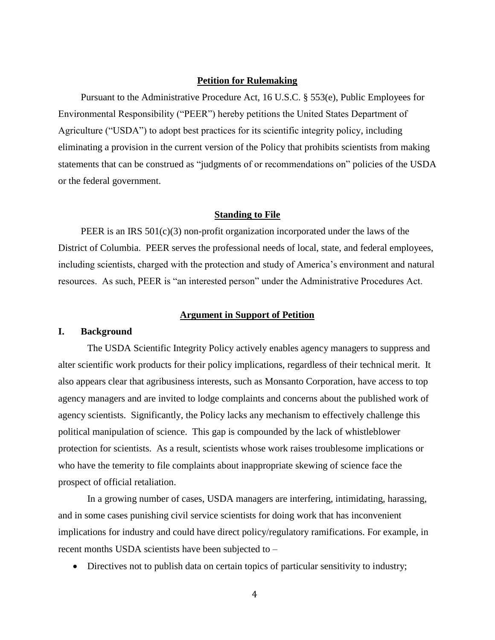### **Petition for Rulemaking**

Pursuant to the Administrative Procedure Act, 16 U.S.C. § 553(e), Public Employees for Environmental Responsibility ("PEER") hereby petitions the United States Department of Agriculture ("USDA") to adopt best practices for its scientific integrity policy, including eliminating a provision in the current version of the Policy that prohibits scientists from making statements that can be construed as "judgments of or recommendations on" policies of the USDA or the federal government.

#### **Standing to File**

PEER is an IRS  $501(c)(3)$  non-profit organization incorporated under the laws of the District of Columbia. PEER serves the professional needs of local, state, and federal employees, including scientists, charged with the protection and study of America's environment and natural resources. As such, PEER is "an interested person" under the Administrative Procedures Act.

#### **Argument in Support of Petition**

#### **I. Background**

The USDA Scientific Integrity Policy actively enables agency managers to suppress and alter scientific work products for their policy implications, regardless of their technical merit. It also appears clear that agribusiness interests, such as Monsanto Corporation, have access to top agency managers and are invited to lodge complaints and concerns about the published work of agency scientists. Significantly, the Policy lacks any mechanism to effectively challenge this political manipulation of science. This gap is compounded by the lack of whistleblower protection for scientists. As a result, scientists whose work raises troublesome implications or who have the temerity to file complaints about inappropriate skewing of science face the prospect of official retaliation.

In a growing number of cases, USDA managers are interfering, intimidating, harassing, and in some cases punishing civil service scientists for doing work that has inconvenient implications for industry and could have direct policy/regulatory ramifications. For example, in recent months USDA scientists have been subjected to –

Directives not to publish data on certain topics of particular sensitivity to industry;

4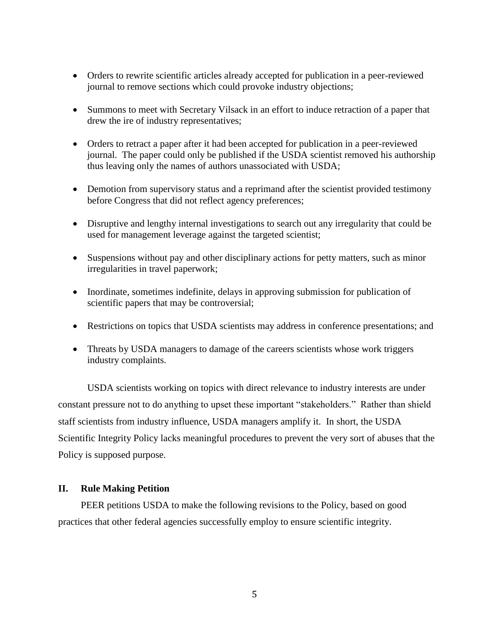- Orders to rewrite scientific articles already accepted for publication in a peer-reviewed journal to remove sections which could provoke industry objections;
- Summons to meet with Secretary Vilsack in an effort to induce retraction of a paper that drew the ire of industry representatives;
- Orders to retract a paper after it had been accepted for publication in a peer-reviewed journal. The paper could only be published if the USDA scientist removed his authorship thus leaving only the names of authors unassociated with USDA;
- Demotion from supervisory status and a reprimand after the scientist provided testimony before Congress that did not reflect agency preferences;
- Disruptive and lengthy internal investigations to search out any irregularity that could be used for management leverage against the targeted scientist;
- Suspensions without pay and other disciplinary actions for petty matters, such as minor irregularities in travel paperwork;
- Inordinate, sometimes indefinite, delays in approving submission for publication of scientific papers that may be controversial;
- Restrictions on topics that USDA scientists may address in conference presentations; and
- Threats by USDA managers to damage of the careers scientists whose work triggers industry complaints.

USDA scientists working on topics with direct relevance to industry interests are under constant pressure not to do anything to upset these important "stakeholders." Rather than shield staff scientists from industry influence, USDA managers amplify it. In short, the USDA Scientific Integrity Policy lacks meaningful procedures to prevent the very sort of abuses that the Policy is supposed purpose.

### **II. Rule Making Petition**

PEER petitions USDA to make the following revisions to the Policy, based on good practices that other federal agencies successfully employ to ensure scientific integrity.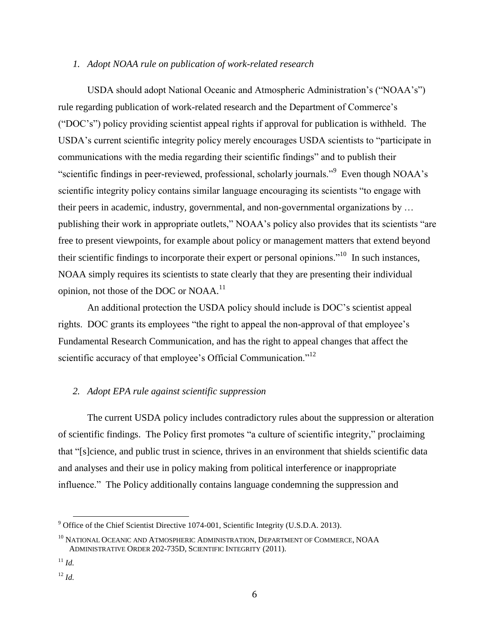### *1. Adopt NOAA rule on publication of work-related research*

USDA should adopt National Oceanic and Atmospheric Administration's ("NOAA's") rule regarding publication of work-related research and the Department of Commerce's ("DOC's") policy providing scientist appeal rights if approval for publication is withheld. The USDA's current scientific integrity policy merely encourages USDA scientists to "participate in communications with the media regarding their scientific findings" and to publish their "scientific findings in peer-reviewed, professional, scholarly journals."<sup>9</sup> Even though NOAA's scientific integrity policy contains similar language encouraging its scientists "to engage with their peers in academic, industry, governmental, and non-governmental organizations by … publishing their work in appropriate outlets," NOAA's policy also provides that its scientists "are free to present viewpoints, for example about policy or management matters that extend beyond their scientific findings to incorporate their expert or personal opinions."<sup>10</sup> In such instances, NOAA simply requires its scientists to state clearly that they are presenting their individual opinion, not those of the DOC or NOAA. $^{11}$ 

An additional protection the USDA policy should include is DOC's scientist appeal rights. DOC grants its employees "the right to appeal the non-approval of that employee's Fundamental Research Communication, and has the right to appeal changes that affect the scientific accuracy of that employee's Official Communication."<sup>12</sup>

# *2. Adopt EPA rule against scientific suppression*

The current USDA policy includes contradictory rules about the suppression or alteration of scientific findings. The Policy first promotes "a culture of scientific integrity," proclaiming that "[s]cience, and public trust in science, thrives in an environment that shields scientific data and analyses and their use in policy making from political interference or inappropriate influence." The Policy additionally contains language condemning the suppression and

 $\overline{\phantom{a}}$ 

<sup>&</sup>lt;sup>9</sup> Office of the Chief Scientist Directive 1074-001, Scientific Integrity (U.S.D.A. 2013).

<sup>10</sup> NATIONAL OCEANIC AND ATMOSPHERIC ADMINISTRATION, DEPARTMENT OF COMMERCE, NOAA ADMINISTRATIVE ORDER 202-735D, SCIENTIFIC INTEGRITY (2011).

 $11 \, H$ 

 $^{12}$  *Id.*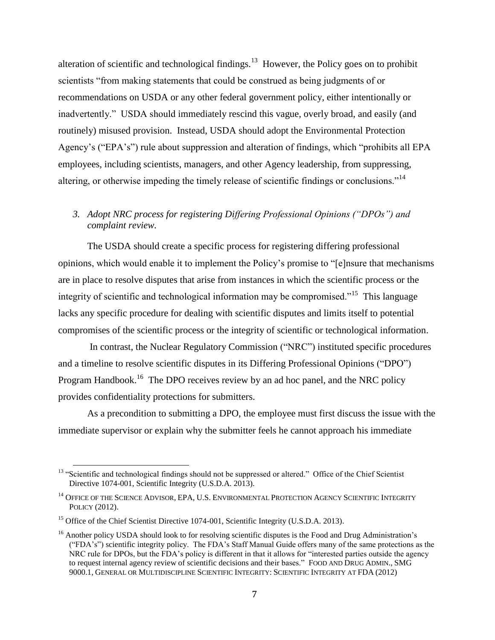alteration of scientific and technological findings.<sup>13</sup> However, the Policy goes on to prohibit scientists "from making statements that could be construed as being judgments of or recommendations on USDA or any other federal government policy, either intentionally or inadvertently." USDA should immediately rescind this vague, overly broad, and easily (and routinely) misused provision. Instead, USDA should adopt the Environmental Protection Agency's ("EPA's") rule about suppression and alteration of findings, which "prohibits all EPA employees, including scientists, managers, and other Agency leadership, from suppressing, altering, or otherwise impeding the timely release of scientific findings or conclusions."<sup>14</sup>

# *3. Adopt NRC process for registering Differing Professional Opinions ("DPOs") and complaint review.*

The USDA should create a specific process for registering differing professional opinions, which would enable it to implement the Policy's promise to "[e]nsure that mechanisms are in place to resolve disputes that arise from instances in which the scientific process or the integrity of scientific and technological information may be compromised."<sup>15</sup> This language lacks any specific procedure for dealing with scientific disputes and limits itself to potential compromises of the scientific process or the integrity of scientific or technological information.

In contrast, the Nuclear Regulatory Commission ("NRC") instituted specific procedures and a timeline to resolve scientific disputes in its Differing Professional Opinions ("DPO") Program Handbook.<sup>16</sup> The DPO receives review by an ad hoc panel, and the NRC policy provides confidentiality protections for submitters.

As a precondition to submitting a DPO, the employee must first discuss the issue with the immediate supervisor or explain why the submitter feels he cannot approach his immediate

 $\overline{\phantom{a}}$ 

<sup>&</sup>lt;sup>13</sup> "Scientific and technological findings should not be suppressed or altered." Office of the Chief Scientist Directive 1074-001, Scientific Integrity (U.S.D.A. 2013).

<sup>&</sup>lt;sup>14</sup> OFFICE OF THE SCIENCE ADVISOR, EPA, U.S. ENVIRONMENTAL PROTECTION AGENCY SCIENTIFIC INTEGRITY POLICY (2012).

<sup>&</sup>lt;sup>15</sup> Office of the Chief Scientist Directive 1074-001, Scientific Integrity (U.S.D.A. 2013).

<sup>&</sup>lt;sup>16</sup> Another policy USDA should look to for resolving scientific disputes is the Food and Drug Administration's ("FDA's") scientific integrity policy. The FDA's Staff Manual Guide offers many of the same protections as the NRC rule for DPOs, but the FDA's policy is different in that it allows for "interested parties outside the agency to request internal agency review of scientific decisions and their bases." FOOD AND DRUG ADMIN., SMG 9000.1, GENERAL OR MULTIDISCIPLINE SCIENTIFIC INTEGRITY: SCIENTIFIC INTEGRITY AT FDA (2012)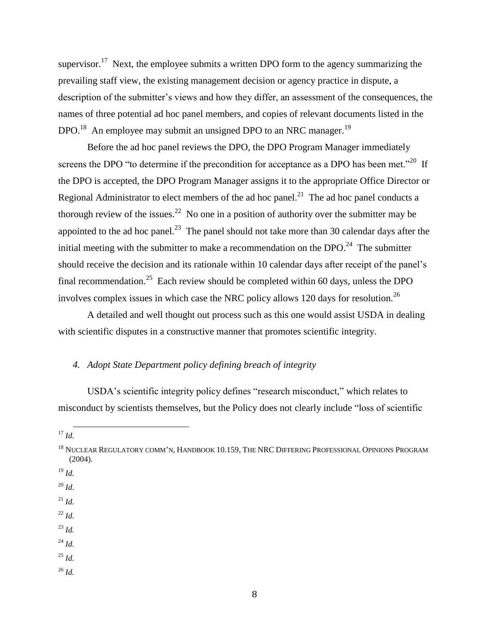supervisor.<sup>17</sup> Next, the employee submits a written DPO form to the agency summarizing the prevailing staff view, the existing management decision or agency practice in dispute, a description of the submitter's views and how they differ, an assessment of the consequences, the names of three potential ad hoc panel members, and copies of relevant documents listed in the DPO.<sup>18</sup> An employee may submit an unsigned DPO to an NRC manager.<sup>19</sup>

Before the ad hoc panel reviews the DPO, the DPO Program Manager immediately screens the DPO "to determine if the precondition for acceptance as a DPO has been met."<sup>20</sup> If the DPO is accepted, the DPO Program Manager assigns it to the appropriate Office Director or Regional Administrator to elect members of the ad hoc panel.<sup>21</sup> The ad hoc panel conducts a thorough review of the issues.<sup>22</sup> No one in a position of authority over the submitter may be appointed to the ad hoc panel.<sup>23</sup> The panel should not take more than 30 calendar days after the initial meeting with the submitter to make a recommendation on the DPO.<sup>24</sup> The submitter should receive the decision and its rationale within 10 calendar days after receipt of the panel's final recommendation.<sup>25</sup> Each review should be completed within 60 days, unless the DPO involves complex issues in which case the NRC policy allows 120 days for resolution.<sup>26</sup>

A detailed and well thought out process such as this one would assist USDA in dealing with scientific disputes in a constructive manner that promotes scientific integrity.

## *4. Adopt State Department policy defining breach of integrity*

USDA's scientific integrity policy defines "research misconduct," which relates to misconduct by scientists themselves, but the Policy does not clearly include "loss of scientific

- <sup>19</sup> *Id.*
- <sup>20</sup> *Id.*
- $^{21}$  *Id.*
- <sup>22</sup> *Id.*
- <sup>23</sup> *Id.*
- <sup>24</sup> *Id.*
- <sup>25</sup> *Id.*
- <sup>26</sup> *Id.*

l <sup>17</sup> *Id.*

<sup>&</sup>lt;sup>18</sup> NUCLEAR REGULATORY COMM'N, HANDBOOK 10.159, THE NRC DIFFERING PROFESSIONAL OPINIONS PROGRAM (2004).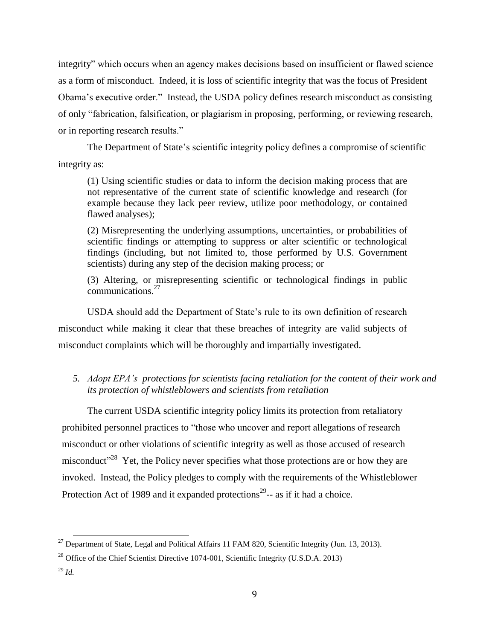integrity" which occurs when an agency makes decisions based on insufficient or flawed science as a form of misconduct. Indeed, it is loss of scientific integrity that was the focus of President Obama's executive order." Instead, the USDA policy defines research misconduct as consisting of only "fabrication, falsification, or plagiarism in proposing, performing, or reviewing research, or in reporting research results."

The Department of State's scientific integrity policy defines a compromise of scientific integrity as:

(1) Using scientific studies or data to inform the decision making process that are not representative of the current state of scientific knowledge and research (for example because they lack peer review, utilize poor methodology, or contained flawed analyses);

(2) Misrepresenting the underlying assumptions, uncertainties, or probabilities of scientific findings or attempting to suppress or alter scientific or technological findings (including, but not limited to, those performed by U.S. Government scientists) during any step of the decision making process; or

(3) Altering, or misrepresenting scientific or technological findings in public communications.<sup>27</sup>

USDA should add the Department of State's rule to its own definition of research misconduct while making it clear that these breaches of integrity are valid subjects of misconduct complaints which will be thoroughly and impartially investigated.

# *5. Adopt EPA's protections for scientists facing retaliation for the content of their work and its protection of whistleblowers and scientists from retaliation*

The current USDA scientific integrity policy limits its protection from retaliatory prohibited personnel practices to "those who uncover and report allegations of research misconduct or other violations of scientific integrity as well as those accused of research misconduct<sup> $28$ </sup> Yet, the Policy never specifies what those protections are or how they are invoked. Instead, the Policy pledges to comply with the requirements of the Whistleblower Protection Act of 1989 and it expanded protections<sup>29</sup> $-$  as if it had a choice.

 $\overline{\phantom{a}}$ 

 $^{27}$  Department of State, Legal and Political Affairs 11 FAM 820, Scientific Integrity (Jun. 13, 2013).

<sup>&</sup>lt;sup>28</sup> Office of the Chief Scientist Directive 1074-001, Scientific Integrity (U.S.D.A. 2013)

<sup>29</sup> *Id.*